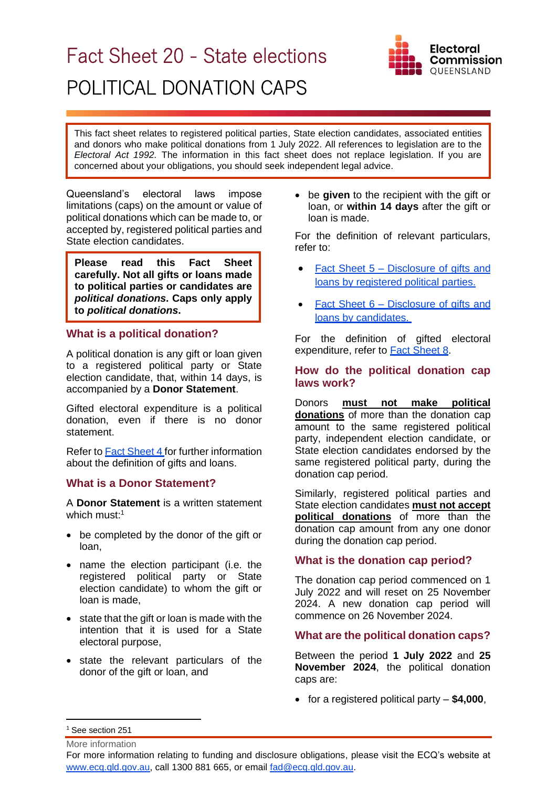# Fact Sheet 20 - State elections POLITICAL DONATION CAPS



This fact sheet relates to registered political parties, State election candidates, associated entities and donors who make political donations from 1 July 2022. All references to legislation are to the *Electoral Act 1992.* The information in this fact sheet does not replace legislation. If you are concerned about your obligations, you should seek independent legal advice.

Queensland's electoral laws impose limitations (caps) on the amount or value of political donations which can be made to, or accepted by, registered political parties and State election candidates.

**Please read this Fact Sheet carefully. Not all gifts or loans made to political parties or candidates are**  *political donations***. Caps only apply to** *political donations***.** 

## **What is a political donation?**

A political donation is any gift or loan given to a registered political party or State election candidate, that, within 14 days, is accompanied by a **Donor Statement**.

Gifted electoral expenditure is a political donation, even if there is no donor statement.

Refer to [Fact Sheet](https://www.ecq.qld.gov.au/election-participants/handbooks,-fact-sheets-and-forms) 4 for further information about the definition of gifts and loans.

# **What is a Donor Statement?**

A **Donor Statement** is a written statement which must: 1

- be completed by the donor of the gift or loan,
- name the election participant (i.e. the registered political party or State election candidate) to whom the gift or loan is made,
- state that the gift or loan is made with the intention that it is used for a State electoral purpose,
- state the relevant particulars of the donor of the gift or loan, and

• be **given** to the recipient with the gift or loan, or **within 14 days** after the gift or loan is made.

For the definition of relevant particulars, refer to:

- Fact Sheet 5 Disclosure of gifts and [loans by registered political parties.](https://www.ecq.qld.gov.au/election-participants/handbooks,-fact-sheets-and-forms)
- Fact Sheet 6 [Disclosure of gifts and](https://www.ecq.qld.gov.au/election-participants/handbooks,-fact-sheets-and-forms)  loans by [candidates.](https://www.ecq.qld.gov.au/election-participants/handbooks,-fact-sheets-and-forms)

For the definition of gifted electoral expenditure, refer to **Fact Sheet 8**.

## **How do the political donation cap laws work?**

Donors **must not make political donations** of more than the donation cap amount to the same registered political party, independent election candidate, or State election candidates endorsed by the same registered political party, during the donation cap period.

Similarly, registered political parties and State election candidates **must not accept political donations** of more than the donation cap amount from any one donor during the donation cap period.

# **What is the donation cap period?**

The donation cap period commenced on 1 July 2022 and will reset on 25 November 2024. A new donation cap period will commence on 26 November 2024.

# **What are the political donation caps?**

Between the period **1 July 2022** and **25 November 2024**, the political donation caps are:

• for a registered political party – **\$4,000**,

<sup>1</sup> See section 251

For more information relating to funding and disclosure obligations, please visit the ECQ's website at [www.ecq.qld.gov.au,](http://www.ecq.qld.gov.au/) call 1300 881 665, or email [fad@ecq.qld.gov.au.](mailto:fad@ecq.qld.gov.au)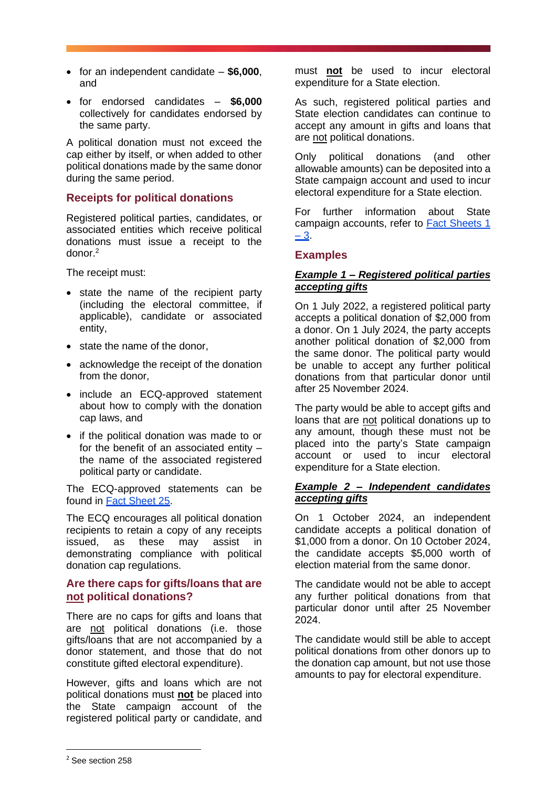- for an independent candidate **\$6,000**, and
- for endorsed candidates **\$6,000** collectively for candidates endorsed by the same party.

A political donation must not exceed the cap either by itself, or when added to other political donations made by the same donor during the same period.

## **Receipts for political donations**

Registered political parties, candidates, or associated entities which receive political donations must issue a receipt to the donor.<sup>2</sup>

The receipt must:

- state the name of the recipient party (including the electoral committee, if applicable), candidate or associated entity,
- state the name of the donor,
- acknowledge the receipt of the donation from the donor,
- include an ECQ-approved statement about how to comply with the donation cap laws, and
- if the political donation was made to or for the benefit of an associated entity – the name of the associated registered political party or candidate.

The ECQ-approved statements can be found in [Fact Sheet 25.](https://www.ecq.qld.gov.au/election-participants/handbooks,-fact-sheets-and-forms)

The ECQ encourages all political donation recipients to retain a copy of any receipts issued, as these may assist in demonstrating compliance with political donation cap regulations.

## **Are there caps for gifts/loans that are not political donations?**

There are no caps for gifts and loans that are not political donations (i.e. those gifts/loans that are not accompanied by a donor statement, and those that do not constitute gifted electoral expenditure).

However, gifts and loans which are not political donations must **not** be placed into the State campaign account of the registered political party or candidate, and

must **not** be used to incur electoral expenditure for a State election.

As such, registered political parties and State election candidates can continue to accept any amount in gifts and loans that are not political donations.

Only political donations (and other allowable amounts) can be deposited into a State campaign account and used to incur electoral expenditure for a State election.

For further information about State campaign accounts, refer to [Fact Sheets 1](https://www.ecq.qld.gov.au/election-participants/handbooks,-fact-sheets-and-forms)   $-3$ .

# **Examples**

#### *Example 1 – Registered political parties accepting gifts*

On 1 July 2022, a registered political party accepts a political donation of \$2,000 from a donor. On 1 July 2024, the party accepts another political donation of \$2,000 from the same donor. The political party would be unable to accept any further political donations from that particular donor until after 25 November 2024.

The party would be able to accept gifts and loans that are not political donations up to any amount, though these must not be placed into the party's State campaign account or used to incur electoral expenditure for a State election.

#### *Example 2 – Independent candidates accepting gifts*

On 1 October 2024, an independent candidate accepts a political donation of \$1,000 from a donor. On 10 October 2024, the candidate accepts \$5,000 worth of election material from the same donor.

The candidate would not be able to accept any further political donations from that particular donor until after 25 November 2024.

The candidate would still be able to accept political donations from other donors up to the donation cap amount, but not use those amounts to pay for electoral expenditure.

<sup>2</sup> See section 258